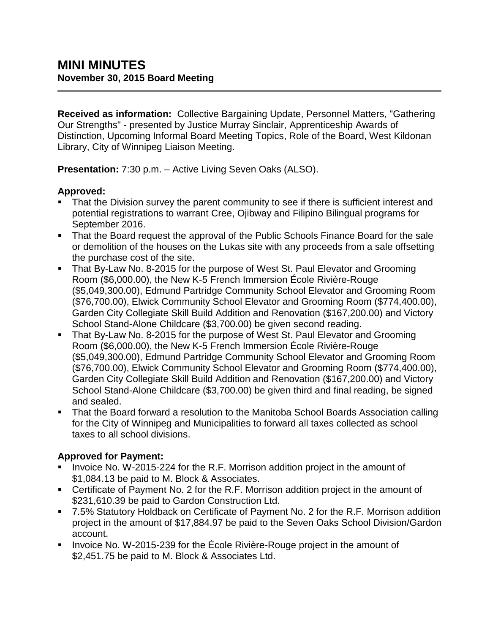**Received as information:** Collective Bargaining Update, Personnel Matters, "Gathering Our Strengths" - presented by Justice Murray Sinclair, Apprenticeship Awards of Distinction, Upcoming Informal Board Meeting Topics, Role of the Board, West Kildonan Library, City of Winnipeg Liaison Meeting.

**Presentation:** 7:30 p.m. – Active Living Seven Oaks (ALSO).

### **Approved:**

- That the Division survey the parent community to see if there is sufficient interest and potential registrations to warrant Cree, Ojibway and Filipino Bilingual programs for September 2016.
- That the Board request the approval of the Public Schools Finance Board for the sale or demolition of the houses on the Lukas site with any proceeds from a sale offsetting the purchase cost of the site.
- That By-Law No. 8-2015 for the purpose of West St. Paul Elevator and Grooming Room (\$6,000.00), the New K-5 French Immersion École Rivière-Rouge (\$5,049,300.00), Edmund Partridge Community School Elevator and Grooming Room (\$76,700.00), Elwick Community School Elevator and Grooming Room (\$774,400.00), Garden City Collegiate Skill Build Addition and Renovation (\$167,200.00) and Victory School Stand-Alone Childcare (\$3,700.00) be given second reading.
- That By-Law No. 8-2015 for the purpose of West St. Paul Elevator and Grooming Room (\$6,000.00), the New K-5 French Immersion École Rivière-Rouge (\$5,049,300.00), Edmund Partridge Community School Elevator and Grooming Room (\$76,700.00), Elwick Community School Elevator and Grooming Room (\$774,400.00), Garden City Collegiate Skill Build Addition and Renovation (\$167,200.00) and Victory School Stand-Alone Childcare (\$3,700.00) be given third and final reading, be signed and sealed.
- That the Board forward a resolution to the Manitoba School Boards Association calling for the City of Winnipeg and Municipalities to forward all taxes collected as school taxes to all school divisions.

### **Approved for Payment:**

- Invoice No. W-2015-224 for the R.F. Morrison addition project in the amount of \$1,084.13 be paid to M. Block & Associates.
- Certificate of Payment No. 2 for the R.F. Morrison addition project in the amount of \$231,610.39 be paid to Gardon Construction Ltd.
- 7.5% Statutory Holdback on Certificate of Payment No. 2 for the R.F. Morrison addition project in the amount of \$17,884.97 be paid to the Seven Oaks School Division/Gardon account.
- Invoice No. W-2015-239 for the École Rivière-Rouge project in the amount of \$2,451.75 be paid to M. Block & Associates Ltd.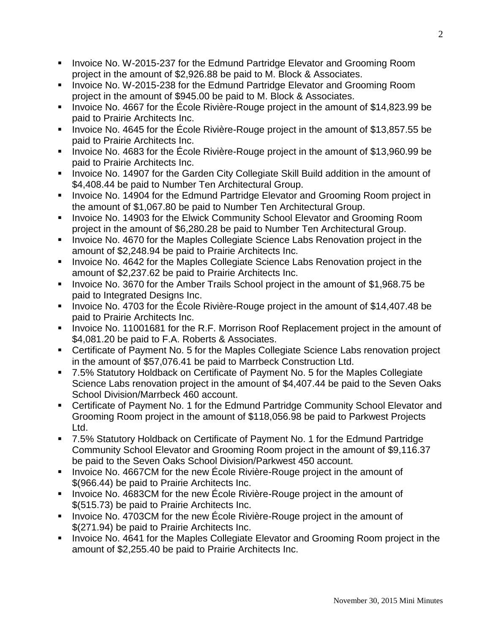- **IDED 10.8 Invoice No. W-2015-237 for the Edmund Partridge Elevator and Grooming Room** project in the amount of \$2,926.88 be paid to M. Block & Associates.
- **IDED 10.4 The Invoice No. W-2015-238 for the Edmund Partridge Elevator and Grooming Room** project in the amount of \$945.00 be paid to M. Block & Associates.
- Invoice No. 4667 for the École Rivière-Rouge project in the amount of \$14,823.99 be paid to Prairie Architects Inc.
- Invoice No. 4645 for the École Rivière-Rouge project in the amount of \$13,857.55 be paid to Prairie Architects Inc.
- Invoice No. 4683 for the École Rivière-Rouge project in the amount of \$13,960.99 be paid to Prairie Architects Inc.
- **Invoice No. 14907 for the Garden City Collegiate Skill Build addition in the amount of** \$4,408.44 be paid to Number Ten Architectural Group.
- **IDED** Invoice No. 14904 for the Edmund Partridge Elevator and Grooming Room project in the amount of \$1,067.80 be paid to Number Ten Architectural Group.
- Invoice No. 14903 for the Elwick Community School Elevator and Grooming Room project in the amount of \$6,280.28 be paid to Number Ten Architectural Group.
- **Invoice No. 4670 for the Maples Collegiate Science Labs Renovation project in the** amount of \$2,248.94 be paid to Prairie Architects Inc.
- **Invoice No. 4642 for the Maples Collegiate Science Labs Renovation project in the** amount of \$2,237.62 be paid to Prairie Architects Inc.
- Invoice No. 3670 for the Amber Trails School project in the amount of \$1,968.75 be paid to Integrated Designs Inc.
- Invoice No. 4703 for the Ecole Rivière-Rouge project in the amount of \$14,407.48 be paid to Prairie Architects Inc.
- Invoice No. 11001681 for the R.F. Morrison Roof Replacement project in the amount of \$4,081.20 be paid to F.A. Roberts & Associates.
- Certificate of Payment No. 5 for the Maples Collegiate Science Labs renovation project in the amount of \$57,076.41 be paid to Marrbeck Construction Ltd.
- 7.5% Statutory Holdback on Certificate of Payment No. 5 for the Maples Collegiate Science Labs renovation project in the amount of \$4,407.44 be paid to the Seven Oaks School Division/Marrbeck 460 account.
- Certificate of Payment No. 1 for the Edmund Partridge Community School Elevator and Grooming Room project in the amount of \$118,056.98 be paid to Parkwest Projects Ltd.
- 7.5% Statutory Holdback on Certificate of Payment No. 1 for the Edmund Partridge Community School Elevator and Grooming Room project in the amount of \$9,116.37 be paid to the Seven Oaks School Division/Parkwest 450 account.
- Invoice No. 4667CM for the new Ecole Rivière-Rouge project in the amount of \$(966.44) be paid to Prairie Architects Inc.
- Invoice No. 4683CM for the new École Rivière-Rouge project in the amount of \$(515.73) be paid to Prairie Architects Inc.
- Invoice No. 4703CM for the new École Rivière-Rouge project in the amount of \$(271.94) be paid to Prairie Architects Inc.
- **Invoice No. 4641 for the Maples Collegiate Elevator and Grooming Room project in the** amount of \$2,255.40 be paid to Prairie Architects Inc.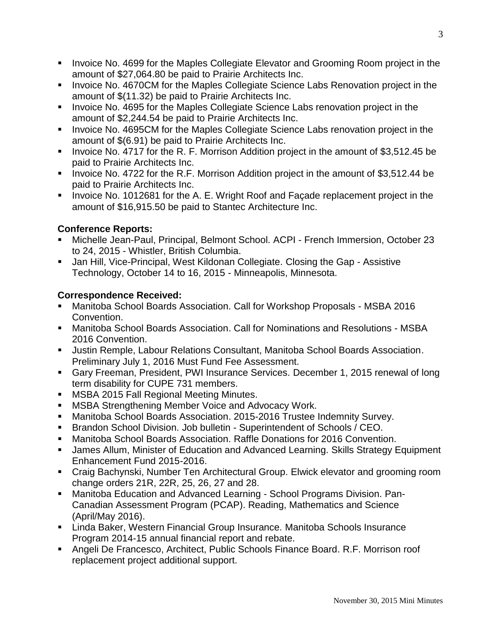- Invoice No. 4699 for the Maples Collegiate Elevator and Grooming Room project in the amount of \$27,064.80 be paid to Prairie Architects Inc.
- **Invoice No. 4670CM for the Maples Collegiate Science Labs Renovation project in the** amount of \$(11.32) be paid to Prairie Architects Inc.
- **Invoice No. 4695 for the Maples Collegiate Science Labs renovation project in the** amount of \$2,244.54 be paid to Prairie Architects Inc.
- **Invoice No. 4695CM for the Maples Collegiate Science Labs renovation project in the** amount of \$(6.91) be paid to Prairie Architects Inc.
- Invoice No. 4717 for the R. F. Morrison Addition project in the amount of \$3,512.45 be paid to Prairie Architects Inc.
- **IDED** 10.4722 for the R.F. Morrison Addition project in the amount of \$3,512.44 be paid to Prairie Architects Inc.
- Invoice No. 1012681 for the A. E. Wright Roof and Façade replacement project in the amount of \$16,915.50 be paid to Stantec Architecture Inc.

## **Conference Reports:**

- Michelle Jean-Paul, Principal, Belmont School. ACPI French Immersion, October 23 to 24, 2015 - Whistler, British Columbia.
- Jan Hill, Vice-Principal, West Kildonan Collegiate. Closing the Gap Assistive Technology, October 14 to 16, 2015 - Minneapolis, Minnesota.

## **Correspondence Received:**

- Manitoba School Boards Association. Call for Workshop Proposals MSBA 2016 Convention.
- Manitoba School Boards Association. Call for Nominations and Resolutions MSBA 2016 Convention.
- Justin Remple, Labour Relations Consultant, Manitoba School Boards Association. Preliminary July 1, 2016 Must Fund Fee Assessment.
- Gary Freeman, President, PWI Insurance Services. December 1, 2015 renewal of long term disability for CUPE 731 members.
- **MSBA 2015 Fall Regional Meeting Minutes.**
- **MSBA Strengthening Member Voice and Advocacy Work.**
- Manitoba School Boards Association. 2015-2016 Trustee Indemnity Survey.
- Brandon School Division. Job bulletin Superintendent of Schools / CEO.
- Manitoba School Boards Association. Raffle Donations for 2016 Convention.
- James Allum, Minister of Education and Advanced Learning. Skills Strategy Equipment Enhancement Fund 2015-2016.
- Craig Bachynski, Number Ten Architectural Group. Elwick elevator and grooming room change orders 21R, 22R, 25, 26, 27 and 28.
- Manitoba Education and Advanced Learning School Programs Division. Pan-Canadian Assessment Program (PCAP). Reading, Mathematics and Science (April/May 2016).
- Linda Baker, Western Financial Group Insurance. Manitoba Schools Insurance Program 2014-15 annual financial report and rebate.
- Angeli De Francesco, Architect, Public Schools Finance Board. R.F. Morrison roof replacement project additional support.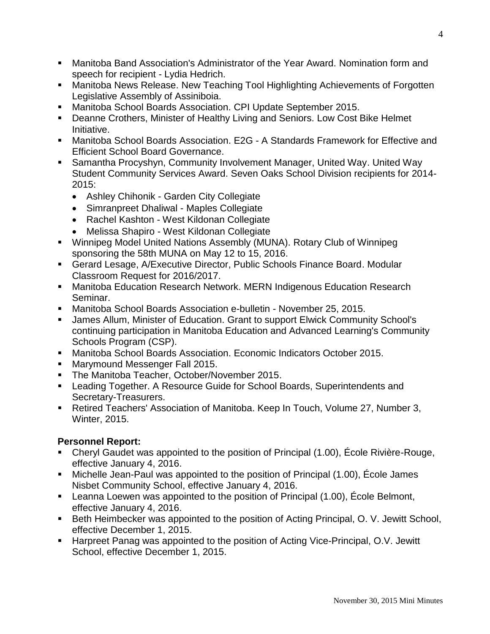- Manitoba Band Association's Administrator of the Year Award. Nomination form and speech for recipient - Lydia Hedrich.
- Manitoba News Release. New Teaching Tool Highlighting Achievements of Forgotten Legislative Assembly of Assiniboia.
- Manitoba School Boards Association. CPI Update September 2015.
- **Deanne Crothers, Minister of Healthy Living and Seniors. Low Cost Bike Helmet** Initiative.
- Manitoba School Boards Association. E2G A Standards Framework for Effective and Efficient School Board Governance.
- Samantha Procyshyn, Community Involvement Manager, United Way. United Way Student Community Services Award. Seven Oaks School Division recipients for 2014- 2015:
	- Ashley Chihonik Garden City Collegiate
	- Simranpreet Dhaliwal Maples Collegiate
	- Rachel Kashton West Kildonan Collegiate
	- Melissa Shapiro West Kildonan Collegiate
- Winnipeg Model United Nations Assembly (MUNA). Rotary Club of Winnipeg sponsoring the 58th MUNA on May 12 to 15, 2016.
- Gerard Lesage, A/Executive Director, Public Schools Finance Board. Modular Classroom Request for 2016/2017.
- Manitoba Education Research Network. MERN Indigenous Education Research Seminar.
- Manitoba School Boards Association e-bulletin November 25, 2015.
- James Allum, Minister of Education. Grant to support Elwick Community School's continuing participation in Manitoba Education and Advanced Learning's Community Schools Program (CSP).
- Manitoba School Boards Association. Economic Indicators October 2015.
- **Marymound Messenger Fall 2015.**
- **The Manitoba Teacher, October/November 2015.**
- Leading Together. A Resource Guide for School Boards, Superintendents and Secretary-Treasurers.
- Retired Teachers' Association of Manitoba. Keep In Touch, Volume 27, Number 3, Winter, 2015.

# **Personnel Report:**

- Cheryl Gaudet was appointed to the position of Principal (1.00), École Rivière-Rouge, effective January 4, 2016.
- Michelle Jean-Paul was appointed to the position of Principal (1.00), École James Nisbet Community School, effective January 4, 2016.
- Leanna Loewen was appointed to the position of Principal (1.00), École Belmont, effective January 4, 2016.
- Beth Heimbecker was appointed to the position of Acting Principal, O. V. Jewitt School, effective December 1, 2015.
- Harpreet Panag was appointed to the position of Acting Vice-Principal, O.V. Jewitt School, effective December 1, 2015.